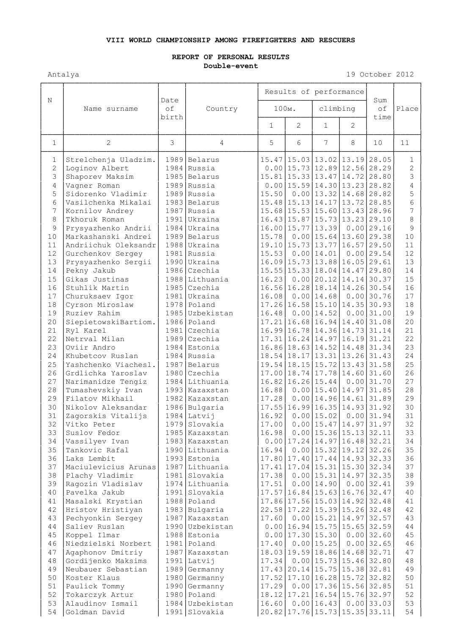## **VIII WORLD CHAMPIONSHIP AMONG FIREFIGHTERS AND RESCUERS**

## **REPORT OF PERSONAL RESULTS Double-event**

Antalya 19 October 2012

|                     |                                            | Date<br>of<br>birth | Country                          | Results of performance |                                                                                   |                 |                                |                   |                     |
|---------------------|--------------------------------------------|---------------------|----------------------------------|------------------------|-----------------------------------------------------------------------------------|-----------------|--------------------------------|-------------------|---------------------|
| N                   | Name surname                               |                     |                                  | 100M.                  |                                                                                   | climbing        |                                | Sum<br>of<br>time | Place               |
|                     |                                            |                     |                                  | $\mathbf{1}$           | $\overline{2}$                                                                    | $\mathbf{1}$    | $\overline{2}$                 |                   |                     |
| $\mathbf{1}$        | $\mathbf{2}$                               | 3                   | 4                                | 5                      | 6                                                                                 | $7\overline{ }$ | 8                              | 10                | 11                  |
| 1<br>$\overline{2}$ | Strelchenja Uladzim.<br>Loginov Albert     |                     | 1989 Belarus<br>1984 Russia      |                        | $15.47$   15.03   13.02   13.19   28.05<br>$0.00$   15.73   12.89   12.56   28.29 |                 |                                |                   | 1<br>$\overline{2}$ |
| 3                   | Shaporev Maksim                            |                     | 1985 Belarus                     |                        | 15.81 15.33 13.47 14.72 28.80                                                     |                 |                                |                   | 3                   |
| 4                   | Vagner Roman                               |                     | 1989 Russia                      |                        | $0.00$   15.59   14.30   13.23   28.82                                            |                 |                                |                   | $\overline{4}$      |
| 5                   | Sidorenko Vladimir                         |                     | 1989 Russia                      | 15.50                  |                                                                                   |                 | $0.00$   13.32   14.68   28.82 |                   | 5                   |
| 6                   | Vasilchenka Mikalai                        |                     | 1983 Belarus                     |                        | 15.48 15.13 14.17 13.72 28.85                                                     |                 |                                |                   | 6                   |
| 7                   | Kornilov Andrey                            |                     | 1987 Russia                      |                        | 15.68 15.53 15.60 13.43 28.96                                                     |                 |                                |                   | $\overline{7}$      |
| 8                   | Tkhoruk Roman                              |                     | 1991 Ukraina                     |                        | 16.43   15.87   15.73   13.23   29.10                                             |                 |                                |                   | 8                   |
| 9<br>10             | Prysyazhenko Andrii<br>Markashanski Andrei |                     | 1984 Ukraina<br>1989 Belarus     | 15.78                  | 16.00 15.77 13.39                                                                 |                 | $0.00$   15.64   13.60   29.38 | $0.00$ 29.16      | 9<br>10             |
| 11                  | Andriichuk Oleksandr                       |                     | 1988 Ukraina                     |                        | 19.10 15.73 13.77 16.57 29.50                                                     |                 |                                |                   | 11                  |
| 12                  | Gurchenkov Sergey                          |                     | 1981 Russia                      | 15.53                  |                                                                                   | $0.00$ 14.01    |                                | $0.00$ 29.54      | 12                  |
| 13                  | Prysyazhenko Sergii                        |                     | 1990 Ukraina                     |                        | 16.09 15.73 13.88 16.05 29.61                                                     |                 |                                |                   | 13                  |
| 14                  | Pekny Jakub                                |                     | 1986 Czechia                     |                        | 15.55 15.33 18.04 14.47 29.80                                                     |                 |                                |                   | 14                  |
| 15                  | Gikas Justinas                             |                     | 1988 Lithuania                   | 16.23                  |                                                                                   | $0.00$   20.12  | $14.14$ 30.37                  |                   | 15                  |
| 16                  | Stuhlik Martin                             |                     | $1985$ Czechia                   |                        | 16.56 16.28                                                                       |                 | 18.14 14.26 30.54              |                   | 16                  |
| 17                  | Churuksaev Igor                            |                     | 1981 Ukraina                     | 16.08                  |                                                                                   | $0.00$   14.68  |                                | $0.00$ 30.76      | 17                  |
| 18                  | Cyrson Miroslaw                            |                     | 1978 Poland                      |                        | $17.26 \mid 16.58 \mid 15.10 \mid 14.35 \mid 30.93$                               |                 |                                |                   | 18                  |
| 19<br>20            | Ruziev Rahim<br>SiepietowskiBartiom.       |                     | 1985 Uzbekistan<br>1986 Poland   | 16.48                  | $17.21 \mid 16.68 \mid 16.94 \mid 14.40 \mid 31.08$                               | $0.00$ 14.52    |                                | $0.00$ 31.00      | 19<br>20            |
| 21                  | Ryl Karel                                  |                     | $1981$ Czechia                   |                        | 16.99 16.78 14.36 14.73 31.14                                                     |                 |                                |                   | 21                  |
| 22                  | Netrval Milan                              |                     | 1989 Czechia                     |                        | 17.31 16.24                                                                       |                 | 14.97 16.19 31.21              |                   | 22                  |
| 23                  | Oviir Andro                                |                     | 1984 Estonia                     |                        | 16.86 18.63 14.52 14.48 31.34                                                     |                 |                                |                   | 23                  |
| 24                  | Khubetcov Ruslan                           |                     | $1984$ Russia                    |                        | 18.54 18.17 13.31 13.26 31.43                                                     |                 |                                |                   | 24                  |
| 25                  | Yashchenko Viachesl.                       |                     | 1987 Belarus                     |                        | 19.54 18.15 15.72 13.43 31.58                                                     |                 |                                |                   | 25                  |
| 26                  | Grdlichka Yaroslav                         |                     | 1980 Czechia                     |                        | $17.00$   18.74   17.78   14.60   31.60                                           |                 |                                |                   | 26                  |
| 27                  | Narimanidze Tengiz                         |                     | 1984 Lithuania                   |                        | $16.82$   16.26   15.44                                                           |                 |                                | $0.00$ 31.70      | 27                  |
| 28                  | Tumashevskiy Ivan                          |                     | 1993 Kazaxstan                   | 16.88                  |                                                                                   |                 | $0.00$   15.40   14.97   31.85 |                   | 28                  |
| 29<br>30            | Filatov Mikhail<br>Nikolov Aleksandar      |                     | 1982 Kazaxstan<br>1986 Bulgaria  | 17.28                  | $17.55$  16.99 16.35 14.93 31.92                                                  |                 | $0.00$   14.96  14.61  31.89   |                   | 29<br>30            |
| 31                  | Zagorskis Vitalijs                         |                     | $1984$ Latvij                    | 16.92                  |                                                                                   |                 | $0.00$   15.02   0.00   31.94  |                   | 31                  |
| 32                  | Vitko Peter                                |                     | 1979 Slovakia                    | 17.00                  |                                                                                   |                 | $0.00$   15.47   14.97   31.97 |                   | 32                  |
| 33                  | Suslov Fedor                               |                     | 1985 Kazaxstan                   | 16.98                  |                                                                                   |                 | $0.00$   15.36   15.13   32.11 |                   | 33                  |
| 34                  | Vassilyev Ivan                             |                     | 1983 Kazaxstan                   |                        | $0.00$   17.24   14.97   16.48   32.21                                            |                 |                                |                   | 34                  |
| 35                  | Tankovic Rafal                             |                     | 1990 Lithuania                   | 16.94                  |                                                                                   |                 | $0.00$   15.32   19.12   32.26 |                   | 35                  |
| 36                  | Laks Lembit                                |                     | 1993 Estonia                     |                        | $17.80 \mid 17.40 \mid 17.44 \mid 14.93 \mid 32.33$                               |                 |                                |                   | 36                  |
| 37                  | Maciulevicius Arunas                       |                     | 1987 Lithuania                   |                        | 17.41 17.04 15.31 15.30 32.34                                                     |                 |                                |                   | 37                  |
| 38                  | Plachy Vladimir                            |                     | 1981 Slovakia                    | 17.38                  |                                                                                   |                 | $0.00$   15.31   14.97   32.35 |                   | 38                  |
| 39<br>40            | Raqozin Vladislav<br>Pavelka Jakub         |                     | 1974 Lithuania<br>1991 Slovakia  | 17.51                  | 17.57 16.84 15.63 16.76 32.47                                                     | $0.00$   14.90  |                                | $0.00$ 32.41      | 39<br>40            |
| 41                  | Masalski Krystian                          |                     | 1988 Poland                      |                        | 17.86 17.56 15.03 14.92 32.48                                                     |                 |                                |                   | 41                  |
| 42                  | Hristov Hristiyan                          |                     | 1983 Bulgaria                    |                        | 22.58 17.22 15.39 15.26 32.48                                                     |                 |                                |                   | 42                  |
| 43                  | Pechyonkin Sergey                          |                     | 1987 Kazaxstan                   | 17.60                  |                                                                                   |                 | $0.00$   15.21   14.97   32.57 |                   | 43                  |
| 44                  | Saliev Ruslan                              |                     | 1990 Uzbekistan                  |                        | $0.00$   16.94   15.75   15.65   32.59                                            |                 |                                |                   | 44                  |
| 45                  | Koppel Ilmar                               |                     | 1988 Estonia                     |                        | $0.00$   17.30   15.30                                                            |                 |                                | $0.00$ 32.60      | 45                  |
| 46                  | Niedzielski Norbert                        |                     | 1981 Poland                      | 17.40                  |                                                                                   | $0.00$   15.25  |                                | $0.00$ 32.65      | 46                  |
| 47                  | Agaphonov Dmitriy                          |                     | 1987 Kazaxstan                   |                        | 18.03 19.59 18.86 14.68 32.71                                                     |                 |                                |                   | 47                  |
| 48                  | Gordijenko Maksims                         |                     | $1991$ Latvij                    |                        | $17.34$ 0.00 15.73 15.46 32.80                                                    |                 |                                |                   | 48                  |
| 49                  | Neubauer Sebastian                         |                     | 1989 Germanny                    |                        | 17.43 20.14 15.75 15.38 32.81                                                     |                 |                                |                   | 49                  |
| 50<br>51            | Koster Klaus<br>Paulick Tommy              |                     | $1980$ Germanny<br>1990 Germanny | 17.29                  | 17.52 17.10 16.28 15.72 32.82                                                     |                 | $0.00$   17.36   15.56   32.85 |                   | 50<br>51            |
| 52                  | Tokarczyk Artur                            |                     | 1980 Poland                      |                        | 18.12 17.21 16.54 15.76 32.97                                                     |                 |                                |                   | 52                  |
| 53                  | Alaudinov Ismail                           |                     | 1984 Uzbekistan                  |                        | $16.60$ 0.00 $16.43$                                                              |                 |                                | $0.00$ 33.03      | 53                  |
| 54                  | Goldman David                              |                     | 1991 Slovakia                    |                        | $20.82$   17.76   15.73   15.35   33.11                                           |                 |                                |                   | 54                  |